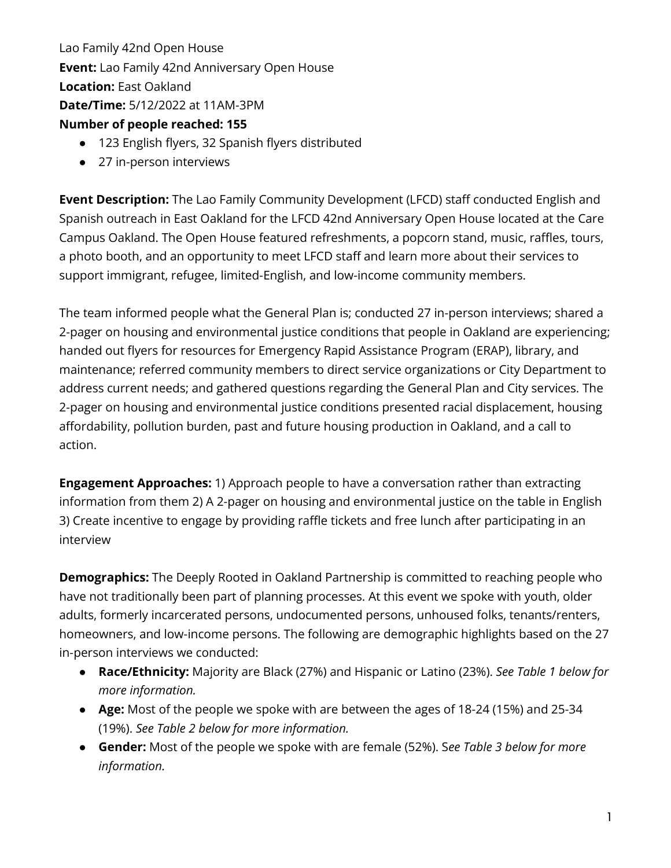Lao Family 42nd Open House **Event:** Lao Family 42nd Anniversary Open House **Location:** East Oakland **Date/Time:** 5/12/2022 at 11AM-3PM **Number of people reached: 155**

- 123 English flyers, 32 Spanish flyers distributed
- 27 in-person interviews

**Event Description:** The Lao Family Community Development (LFCD) staff conducted English and Spanish outreach in East Oakland for the LFCD 42nd Anniversary Open House located at the Care Campus Oakland. The Open House featured refreshments, a popcorn stand, music, raffles, tours, a photo booth, and an opportunity to meet LFCD staff and learn more about their services to support immigrant, refugee, limited-English, and low-income community members.

The team informed people what the General Plan is; conducted 27 in-person interviews; shared a 2-pager on housing and environmental justice conditions that people in Oakland are experiencing; handed out flyers for resources for Emergency Rapid Assistance Program (ERAP), library, and maintenance; referred community members to direct service organizations or City Department to address current needs; and gathered questions regarding the General Plan and City services. The 2-pager on housing and environmental justice conditions presented racial displacement, housing affordability, pollution burden, past and future housing production in Oakland, and a call to action.

**Engagement Approaches:** 1) Approach people to have a conversation rather than extracting information from them 2) A 2-pager on housing and environmental justice on the table in English 3) Create incentive to engage by providing raffle tickets and free lunch after participating in an interview

**Demographics:** The Deeply Rooted in Oakland Partnership is committed to reaching people who have not traditionally been part of planning processes. At this event we spoke with youth, older adults, formerly incarcerated persons, undocumented persons, unhoused folks, tenants/renters, homeowners, and low-income persons. The following are demographic highlights based on the 27 in-person interviews we conducted:

- **Race/Ethnicity:** Majority are Black (27%) and Hispanic or Latino (23%). *See Table 1 below for more information.*
- **Age:** Most of the people we spoke with are between the ages of 18-24 (15%) and 25-34 (19%). *See Table 2 below for more information.*
- **Gender:** Most of the people we spoke with are female (52%). S*ee Table 3 below for more information.*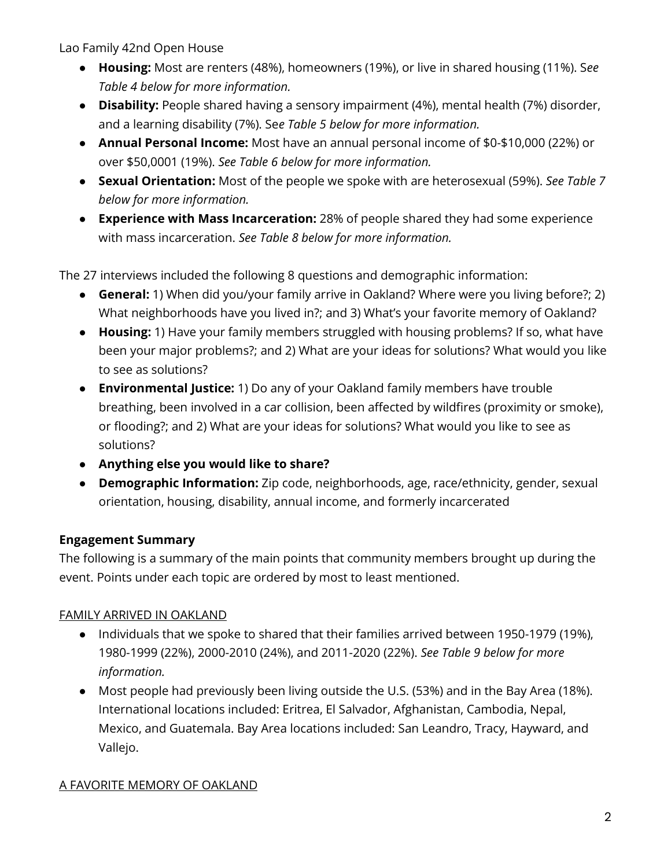- **Housing:** Most are renters (48%), homeowners (19%), or live in shared housing (11%). S*ee Table 4 below for more information.*
- **Disability:** People shared having a sensory impairment (4%), mental health (7%) disorder, and a learning disability (7%). Se*e Table 5 below for more information.*
- **Annual Personal Income:** Most have an annual personal income of \$0-\$10,000 (22%) or over \$50,0001 (19%). *See Table 6 below for more information.*
- **Sexual Orientation:** Most of the people we spoke with are heterosexual (59%). *See Table 7 below for more information.*
- **Experience with Mass Incarceration:** 28% of people shared they had some experience with mass incarceration. *See Table 8 below for more information.*

The 27 interviews included the following 8 questions and demographic information:

- **General:** 1) When did you/your family arrive in Oakland? Where were you living before?; 2) What neighborhoods have you lived in?; and 3) What's your favorite memory of Oakland?
- **Housing:** 1) Have your family members struggled with housing problems? If so, what have been your major problems?; and 2) What are your ideas for solutions? What would you like to see as solutions?
- **Environmental Justice:** 1) Do any of your Oakland family members have trouble breathing, been involved in a car collision, been affected by wildfires (proximity or smoke), or flooding?; and 2) What are your ideas for solutions? What would you like to see as solutions?
- **Anything else you would like to share?**
- **Demographic Information:** Zip code, neighborhoods, age, race/ethnicity, gender, sexual orientation, housing, disability, annual income, and formerly incarcerated

## **Engagement Summary**

The following is a summary of the main points that community members brought up during the event. Points under each topic are ordered by most to least mentioned.

## FAMILY ARRIVED IN OAKLAND

- Individuals that we spoke to shared that their families arrived between 1950-1979 (19%), 1980-1999 (22%), 2000-2010 (24%), and 2011-2020 (22%). *See Table 9 below for more information.*
- Most people had previously been living outside the U.S. (53%) and in the Bay Area (18%). International locations included: Eritrea, El Salvador, Afghanistan, Cambodia, Nepal, Mexico, and Guatemala. Bay Area locations included: San Leandro, Tracy, Hayward, and Vallejo.

## A FAVORITE MEMORY OF OAKLAND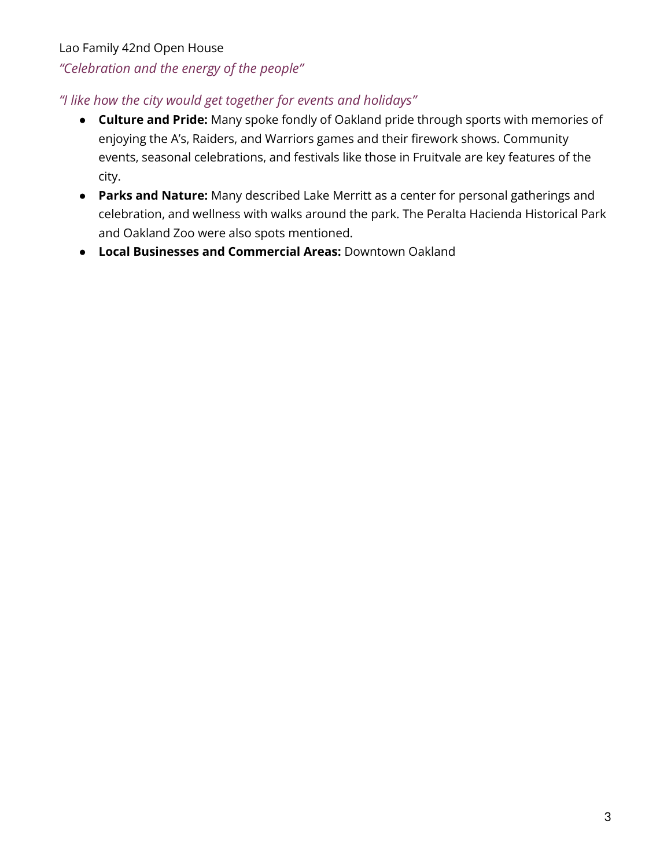# Lao Family 42nd Open House *"Celebration and the energy of the people"*

## *"I like how the city would get together for events and holidays"*

- **Culture and Pride:** Many spoke fondly of Oakland pride through sports with memories of enjoying the A's, Raiders, and Warriors games and their firework shows. Community events, seasonal celebrations, and festivals like those in Fruitvale are key features of the city.
- **Parks and Nature:** Many described Lake Merritt as a center for personal gatherings and celebration, and wellness with walks around the park. The Peralta Hacienda Historical Park and Oakland Zoo were also spots mentioned.
- **Local Businesses and Commercial Areas:** Downtown Oakland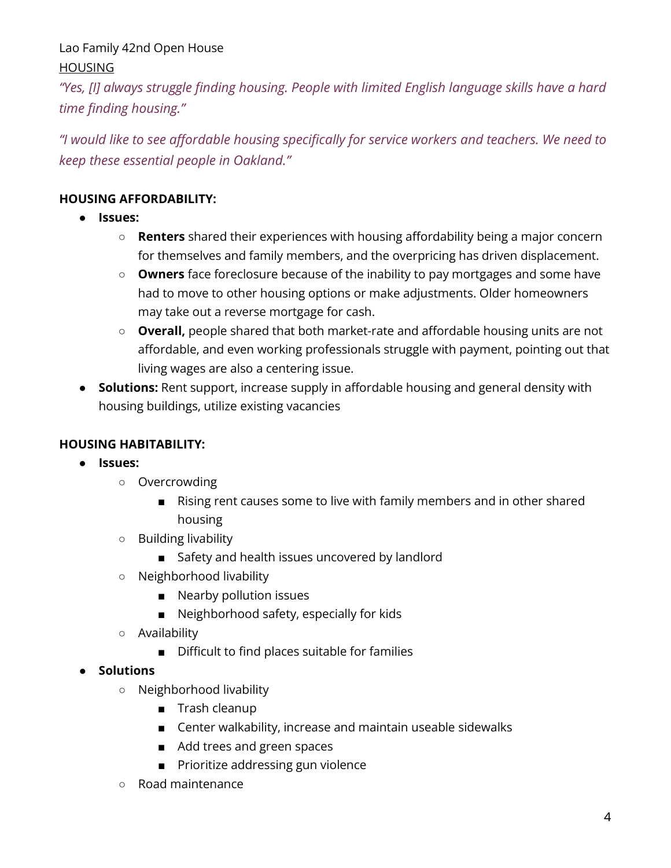Lao Family 42nd Open House HOUSING

*"Yes, [I] always struggle finding housing. People with limited English language skills have a hard time finding housing."*

*"I would like to see affordable housing specifically for service workers and teachers. We need to keep these essential people in Oakland."*

### **HOUSING AFFORDABILITY:**

- **Issues:** 
	- **Renters** shared their experiences with housing affordability being a major concern for themselves and family members, and the overpricing has driven displacement.
	- **Owners** face foreclosure because of the inability to pay mortgages and some have had to move to other housing options or make adjustments. Older homeowners may take out a reverse mortgage for cash.
	- **Overall,** people shared that both market-rate and affordable housing units are not affordable, and even working professionals struggle with payment, pointing out that living wages are also a centering issue.
- **Solutions:** Rent support, increase supply in affordable housing and general density with housing buildings, utilize existing vacancies

## **HOUSING HABITABILITY:**

- **Issues:**
	- Overcrowding
		- Rising rent causes some to live with family members and in other shared housing
	- Building livability
		- Safety and health issues uncovered by landlord
	- Neighborhood livability
		- Nearby pollution issues
		- Neighborhood safety, especially for kids
	- Availability
		- Difficult to find places suitable for families
- **Solutions**
	- Neighborhood livability
		- Trash cleanup
		- Center walkability, increase and maintain useable sidewalks
		- Add trees and green spaces
		- Prioritize addressing gun violence
	- Road maintenance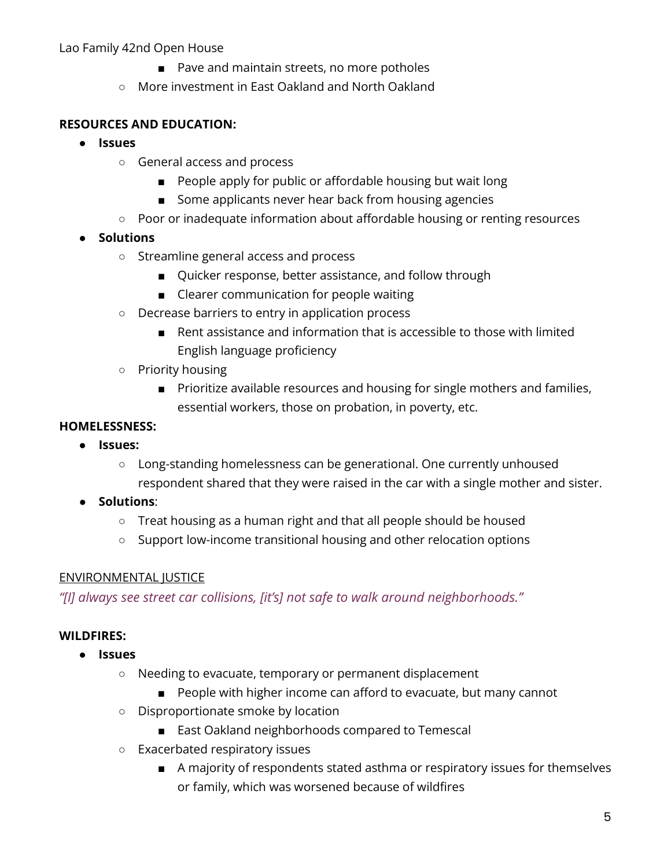- Pave and maintain streets, no more potholes
- More investment in East Oakland and North Oakland

#### **RESOURCES AND EDUCATION:**

- **Issues**
	- General access and process
		- People apply for public or affordable housing but wait long
		- Some applicants never hear back from housing agencies
	- Poor or inadequate information about affordable housing or renting resources
- **Solutions**
	- Streamline general access and process
		- Quicker response, better assistance, and follow through
		- Clearer communication for people waiting
	- Decrease barriers to entry in application process
		- Rent assistance and information that is accessible to those with limited English language proficiency
	- Priority housing
		- Prioritize available resources and housing for single mothers and families, essential workers, those on probation, in poverty, etc.

#### **HOMELESSNESS:**

- **Issues:**
	- Long-standing homelessness can be generational. One currently unhoused respondent shared that they were raised in the car with a single mother and sister.
- **Solutions**:
	- Treat housing as a human right and that all people should be housed
	- Support low-income transitional housing and other relocation options

#### ENVIRONMENTAL JUSTICE

*"[I] always see street car collisions, [it's] not safe to walk around neighborhoods."*

#### **WILDFIRES:**

- **Issues**
	- Needing to evacuate, temporary or permanent displacement
		- People with higher income can afford to evacuate, but many cannot
	- Disproportionate smoke by location
		- East Oakland neighborhoods compared to Temescal
	- Exacerbated respiratory issues
		- A majority of respondents stated asthma or respiratory issues for themselves or family, which was worsened because of wildfires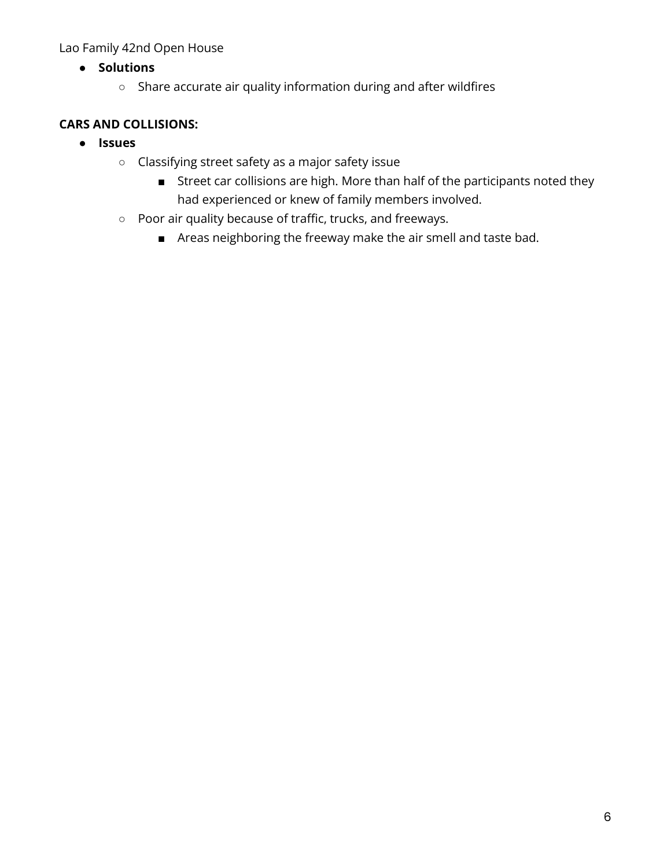- **Solutions**
	- Share accurate air quality information during and after wildfires

## **CARS AND COLLISIONS:**

- **Issues**
	- Classifying street safety as a major safety issue
		- Street car collisions are high. More than half of the participants noted they had experienced or knew of family members involved.
	- Poor air quality because of traffic, trucks, and freeways.
		- Areas neighboring the freeway make the air smell and taste bad.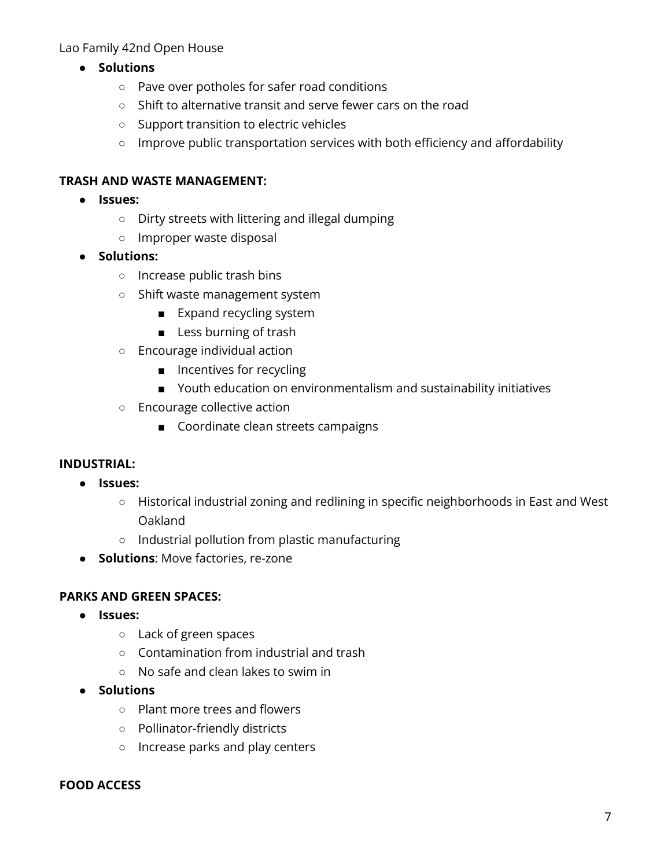- **Solutions**
	- Pave over potholes for safer road conditions
	- Shift to alternative transit and serve fewer cars on the road
	- Support transition to electric vehicles
	- Improve public transportation services with both efficiency and affordability

#### **TRASH AND WASTE MANAGEMENT:**

- **Issues:**
	- Dirty streets with littering and illegal dumping
	- Improper waste disposal
- **Solutions:** 
	- Increase public trash bins
	- Shift waste management system
		- Expand recycling system
		- Less burning of trash
	- Encourage individual action
		- Incentives for recycling
		- Youth education on environmentalism and sustainability initiatives
	- Encourage collective action
		- Coordinate clean streets campaigns

#### **INDUSTRIAL:**

- **Issues:**
	- Historical industrial zoning and redlining in specific neighborhoods in East and West Oakland
	- Industrial pollution from plastic manufacturing
- **Solutions**: Move factories, re-zone

#### **PARKS AND GREEN SPACES:**

- **Issues:**
	- Lack of green spaces
	- Contamination from industrial and trash
	- No safe and clean lakes to swim in
- **Solutions**
	- Plant more trees and flowers
	- Pollinator-friendly districts
	- Increase parks and play centers

#### **FOOD ACCESS**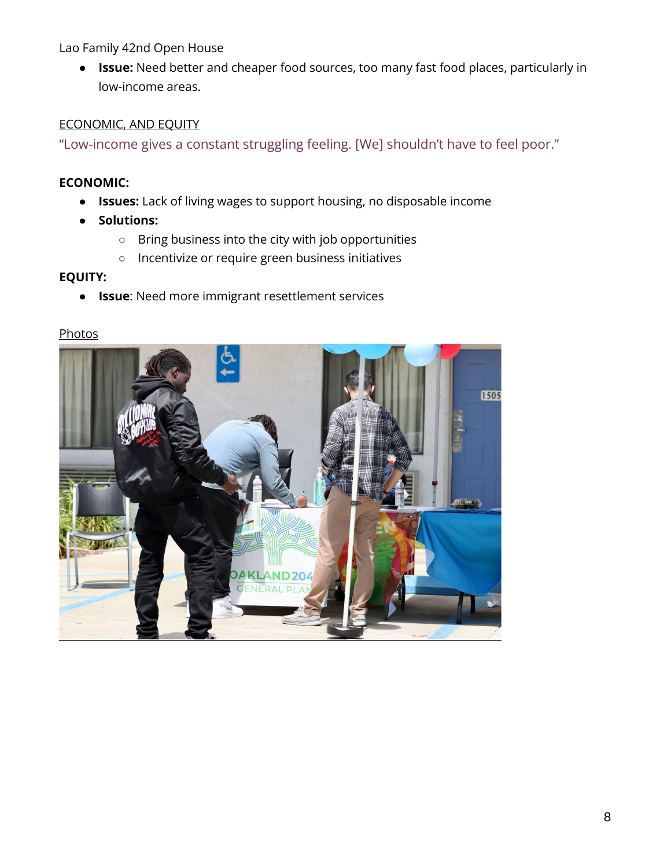● **Issue:** Need better and cheaper food sources, too many fast food places, particularly in low-income areas.

#### ECONOMIC, AND EQUITY

"Low-income gives a constant struggling feeling. [We] shouldn't have to feel poor."

#### **ECONOMIC:**

- **Issues:** Lack of living wages to support housing, no disposable income
- **Solutions:**
	- Bring business into the city with job opportunities
	- Incentivize or require green business initiatives

#### **EQUITY:**

● **Issue**: Need more immigrant resettlement services

#### **Photos**

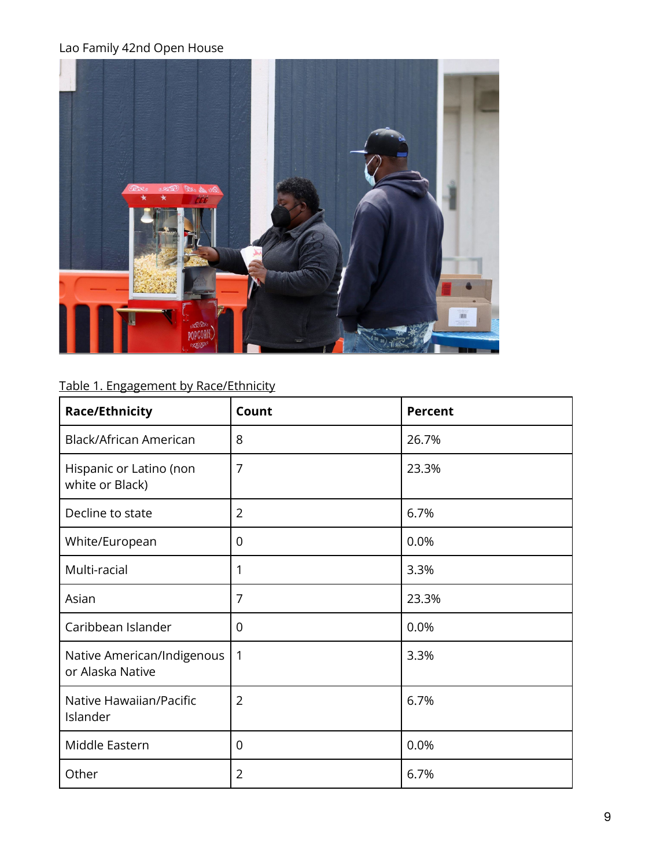

# Table 1. Engagement by Race/Ethnicity

| <b>Race/Ethnicity</b>                          | Count          | <b>Percent</b> |
|------------------------------------------------|----------------|----------------|
| Black/African American                         | 8              | 26.7%          |
| Hispanic or Latino (non<br>white or Black)     | $\overline{7}$ | 23.3%          |
| Decline to state                               | $\overline{2}$ | 6.7%           |
| White/European                                 | 0              | 0.0%           |
| Multi-racial                                   | 1              | 3.3%           |
| Asian                                          | 7              | 23.3%          |
| Caribbean Islander                             | $\overline{0}$ | 0.0%           |
| Native American/Indigenous<br>or Alaska Native | $\mathbf{1}$   | 3.3%           |
| Native Hawaiian/Pacific<br>Islander            | $\overline{2}$ | 6.7%           |
| Middle Eastern                                 | 0              | 0.0%           |
| Other                                          | $\overline{2}$ | 6.7%           |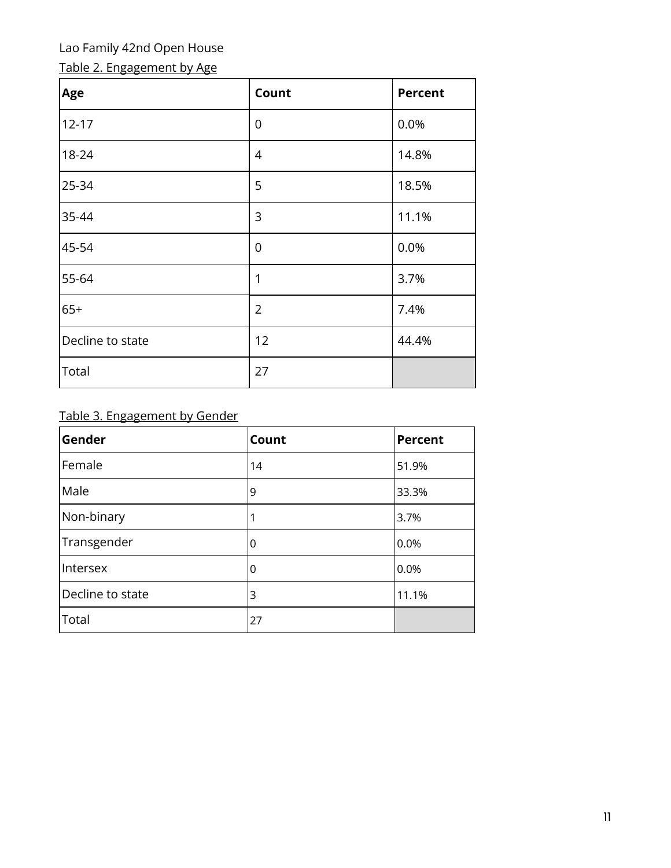# Table 2. Engagement by Age

| Age              | Count          | <b>Percent</b> |
|------------------|----------------|----------------|
| $12 - 17$        | $\overline{0}$ | 0.0%           |
| 18-24            | 4              | 14.8%          |
| 25-34            | 5              | 18.5%          |
| 35-44            | 3              | 11.1%          |
| 45-54            | $\overline{0}$ | 0.0%           |
| 55-64            | 1              | 3.7%           |
| $65+$            | $\overline{2}$ | 7.4%           |
| Decline to state | 12             | 44.4%          |
| Total            | 27             |                |

# Table 3. Engagement by Gender

| Gender           | Count | <b>Percent</b> |
|------------------|-------|----------------|
| Female           | 14    | 51.9%          |
| Male             | 9     | 33.3%          |
| Non-binary       |       | 3.7%           |
| Transgender      | O     | 0.0%           |
| Intersex         | Ω     | 0.0%           |
| Decline to state | 3     | 11.1%          |
| Total            | 27    |                |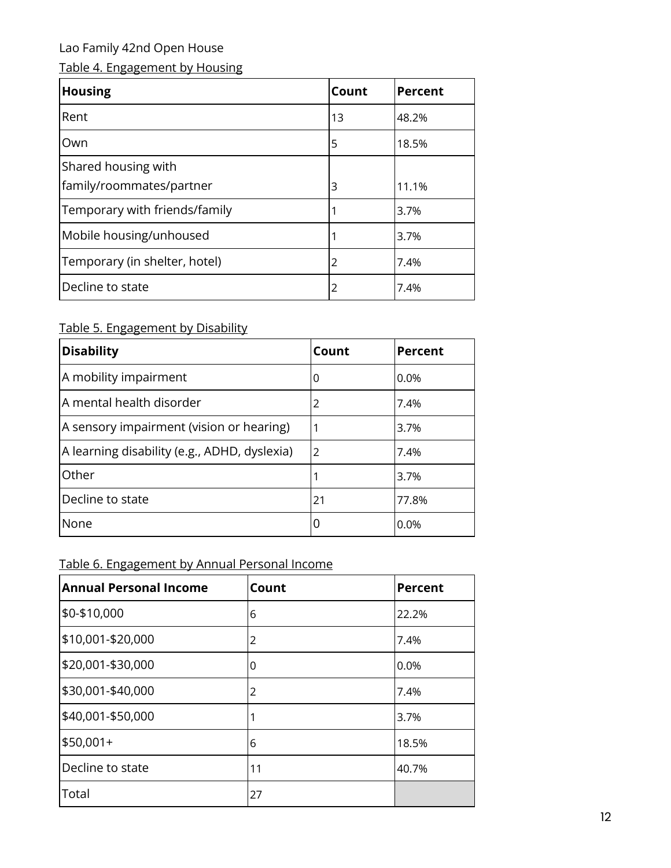# Table 4. Engagement by Housing

| <b>Housing</b>                                  | Count | <b>Percent</b> |
|-------------------------------------------------|-------|----------------|
| Rent                                            | 13    | 48.2%          |
| Own                                             | 5     | 18.5%          |
| Shared housing with<br>family/roommates/partner | 3     | 11.1%          |
| Temporary with friends/family                   |       | 3.7%           |
| Mobile housing/unhoused                         |       | 3.7%           |
| Temporary (in shelter, hotel)                   | 2     | 7.4%           |
| Decline to state                                | 2     | 7.4%           |

# Table 5. Engagement by Disability

| <b>Disability</b>                            | Count | <b>Percent</b> |
|----------------------------------------------|-------|----------------|
| A mobility impairment                        | 0     | $0.0\%$        |
| A mental health disorder                     | 2     | 7.4%           |
| A sensory impairment (vision or hearing)     | 1     | 3.7%           |
| A learning disability (e.g., ADHD, dyslexia) | 2     | 7.4%           |
| Other                                        | 1     | 3.7%           |
| Decline to state                             | 21    | 77.8%          |
| None                                         | 0     | 0.0%           |

# Table 6. Engagement by Annual Personal Income

| <b>Annual Personal Income</b> | Count | <b>Percent</b> |
|-------------------------------|-------|----------------|
| \$0-\$10,000                  | 6     | 22.2%          |
| \$10,001-\$20,000             | 2     | 7.4%           |
| \$20,001-\$30,000             | 0     | 0.0%           |
| \$30,001-\$40,000             | 2     | 7.4%           |
| \$40,001-\$50,000             | 1     | 3.7%           |
| $$50,001+$                    | 6     | 18.5%          |
| Decline to state              | 11    | 40.7%          |
| Total                         | 27    |                |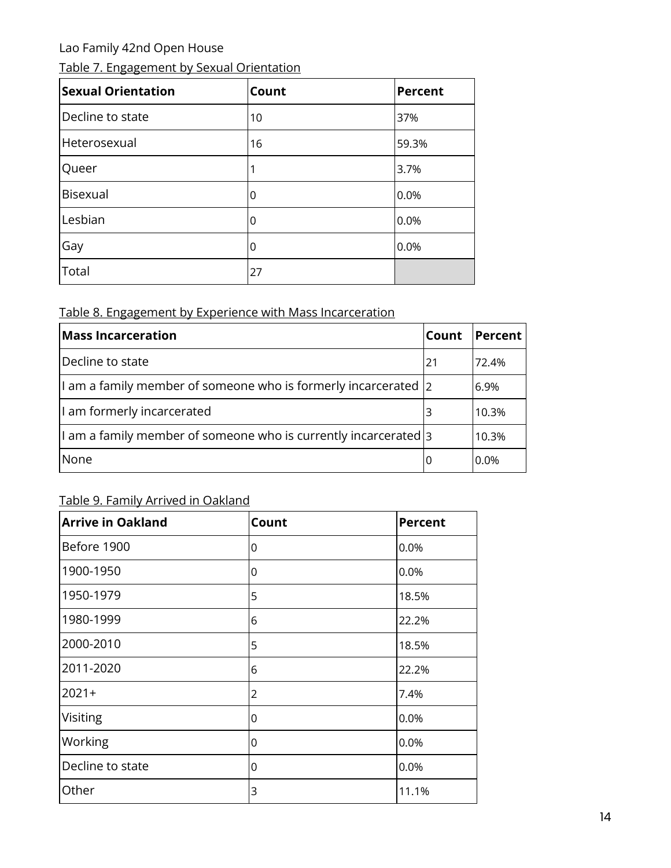|  | Table 7. Engagement by Sexual Orientation |
|--|-------------------------------------------|
|  |                                           |

| <b>Sexual Orientation</b> | Count | <b>Percent</b> |
|---------------------------|-------|----------------|
| Decline to state          | 10    | 37%            |
| Heterosexual              | 16    | 59.3%          |
| Queer                     |       | 3.7%           |
| <b>Bisexual</b>           | 0     | 0.0%           |
| Lesbian                   | 0     | 0.0%           |
| Gay                       | 0     | 0.0%           |
| Total                     | 27    |                |

## Table 8. Engagement by Experience with Mass Incarceration

| <b>Mass Incarceration</b>                                                       | Count | Percent |
|---------------------------------------------------------------------------------|-------|---------|
| Decline to state                                                                | 21    | 72.4%   |
| $\vert$ am a family member of someone who is formerly incarcerated $\vert$ 2    |       | 6.9%    |
| I am formerly incarcerated                                                      | 3     | 10.3%   |
| $\vert$ l am a family member of someone who is currently incarcerated $\vert$ 3 |       | 10.3%   |
| None                                                                            | O     | $0.0\%$ |

# Table 9. Family Arrived in Oakland

| <b>Arrive in Oakland</b> | Count          | Percent |
|--------------------------|----------------|---------|
| Before 1900              | 0              | 0.0%    |
| 1900-1950                | 0              | 0.0%    |
| 1950-1979                | 5              | 18.5%   |
| 1980-1999                | 6              | 22.2%   |
| 2000-2010                | 5              | 18.5%   |
| 2011-2020                | 6              | 22.2%   |
| $2021+$                  | $\overline{2}$ | 7.4%    |
| Visiting                 | 0              | 0.0%    |
| Working                  | 0              | 0.0%    |
| Decline to state         | 0              | 0.0%    |
| Other                    | 3              | 11.1%   |